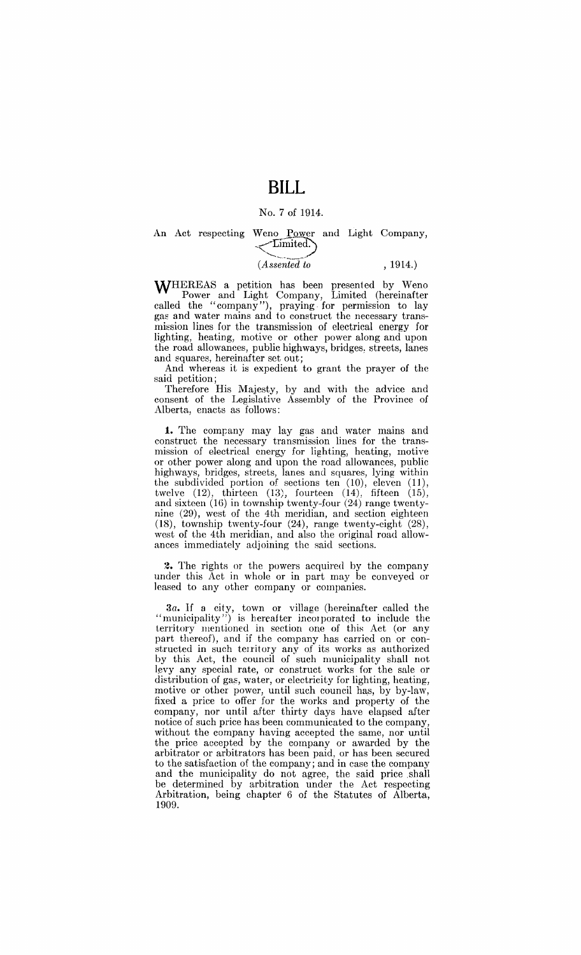### **BILL**

#### No.7 of 1914.

### An Act respecting Weno Power and Light Company,  $\leq$   $\frac{\text{Limited}}{\text{Lattice}}$

# *(Assented to* , 1914.)

WHEREAS a petition has been presented by Weno Power and Light Company, Limited (hereinafter called the "company"), praying for permission to lay gas and water mains and to construct the necessary transmission lines for the transmission of electrical energy for lighting, heating, motive or other power along and upon the road allowances, public highways, bridges, streets, lanes and squares, hereinafter set out;

And whereas it is expedient to grant the prayer of the said petition;

Therefore His Majesty, by and with the advice and consent of the Legislative Assembly of the Province of Alberta, enacts as follows:

1. The company may lay gas and water mains and construct the necessary transmission lines for the transmission of electrical energy for lighting, heating, motive or other power along and upon the road allowances, public highways, bridges, streets, lanes and squares, lying within the subdivided portion of sections ten (10), eleven (11), twelve (12), thirteen (13), fourteen (14), fifteen (15), and sixteen (IG) in township twenty-four (24) range twentynine (29), west of the 4th meridian, and section eighteen (18), township twenty-four (24), range twenty-eight (28), west of the 4th meridian, and also the original road allowances immediately adjoining the said sections.

2. The rights or the powers acquired by the company under this Act in whole or in part may be conveyed or leased to any other company or companies.

*3a.* If a city, town or village (hereinafter called the "municipality") is hereafter incorporated to include the territory mentioned in section one of this Act (or any part thereof), and if the company has carried on or constructed in such territory any of its works as authorized by this Act, the council of such municipality shall not levy any special rate, or construct works for the sale or distribution of gas, water, or electricity for lighting, heating, motive or other power, until such council has, by by-law, fixed a price to offer for the works and property of the company, nor until after thirty days have elapsed after notice of such price has been communicated to the company, without the company having accepted the same, nor until the price accepted by the company or awarded by the arbitrator or arbitrators has been paid, or has been secured to the satisfaction of the company; and in case the company and the municipality do not agree, the said price shall be determined by arbitration under the Act respecting Arbitration, being chapter 6 of the Statutes of Alberta, 1909.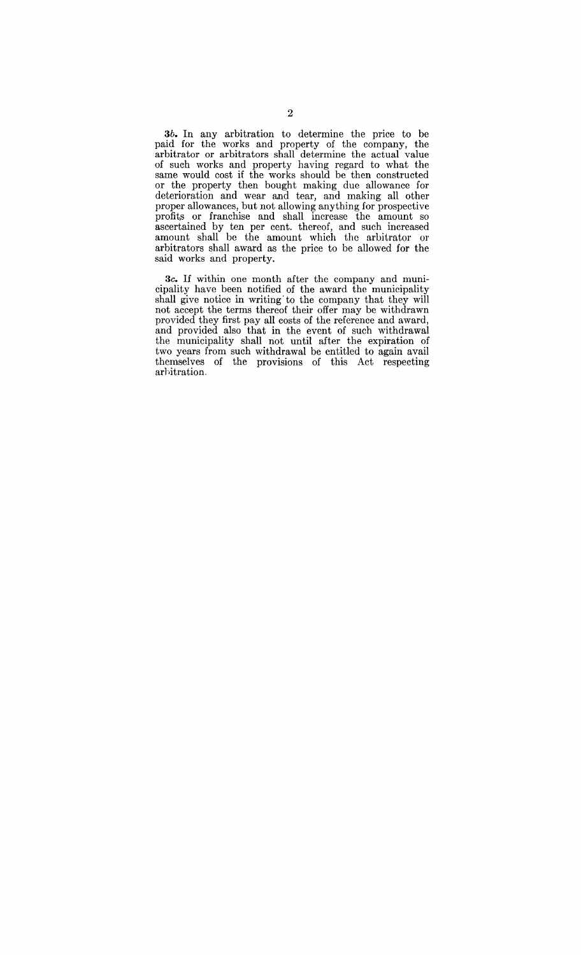3b. In any arbitration to determine the price to be paid for the works and property of the company, the arbitrator or arbitrators shall determine the actual value of such works and property having regard to what the same would cost if the works should be then constructed or the property then bought making due allowance for deterioration and wear and tear, and making all other proper allowances, but not allowing anything for prospective profits or franchise and shall increase the amount so ascertained by ten per cent. thereof, and such increased amount shall be the amount which the arbitrator or arbitrators shall award as the price to be allowed for the said works and property.

*3c.* If within one month after the company and municipality have been notified of the award the municipality shall give notice in writing'to the company that they will not accept the terms thereof their offer may be withdrawn provided they first pay all costs of the reference and award, and provided also that in the event of such withdrawal the municipality shall not until after the expiration of two years from such withdrawal be entitled to again avail themselves of the provisions of this Act respecting arhitration,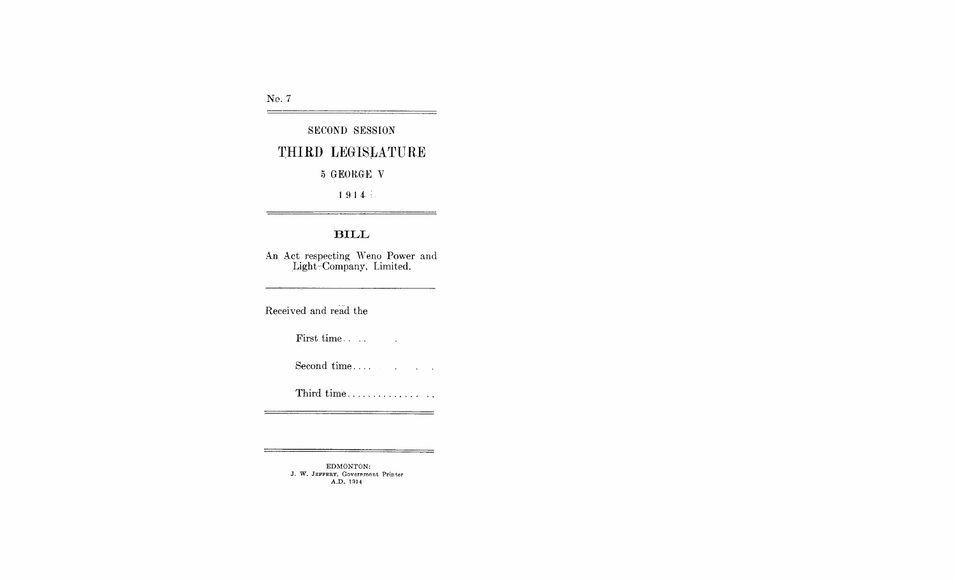No. 7  $\qquad \qquad$ 

## SECOND SESSION THIRD LEGISLATURE

5 GEORGE V

 $1914.5$ 

#### BILL

An Act respecting Weno Power and Light-Company, Limited.

Received and read the

First time...

 $\sim 10$ 

 $=$ 

Third time................

EDMONTON: J. W. JEFFERY, Government Printer A.D. 1914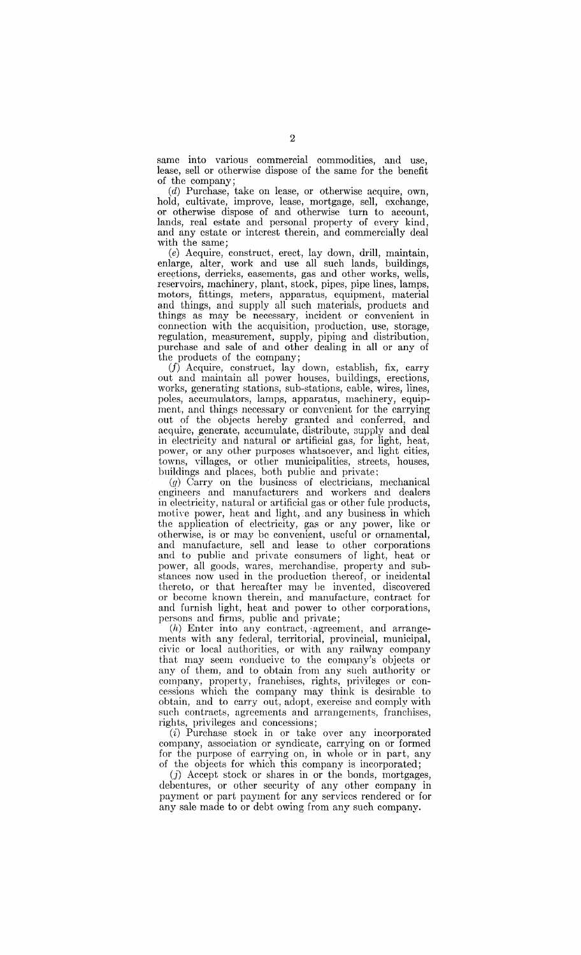same into various commercial commodities, and use, lease, sell or otherwise dispose of the same for the benefit of the company;

(d) Purchase, take on lease, or otherwise acquire, own, hold, cultivate, improve, lease, mortgage, sell, exchange, or otherwise dispose of and otherwise turn to account, lands, real estate and personal property of every kind, and any estate or interest therein, and commercially deal with the same;

(e) Acquire, construct, erect, lay down, drill, maintain, enlarge, alter, work and use all such lands, buildings, erections, derricks, easements, gas and other works, wells, reservoirs, machinery, plant, stock, pipes, pipe lines, lamps, motors, fittings, meters, apparatus, equipment, material and things, and supply all such materials, products and things as may be necessary, incident or convenient in connection with the acquisition, production, use, storage, regulation, measurement, supply, piping and distribution, purchase and sale of and other dealing in all or any of the products of the company;

(f) Acquire, construct, lay down, establish, fix, carry out and maintain all power houses, buildings, erections, works, generating stations, sub-stations, cable, wires, lines, poles, accumulators, lamps, apparatus, machinery, equipment, and things necessary or convenient for the carrying out of the objects hereby granted and conferred, and acquire, generate, accumulate, distribute, supply and deal in electricity and natural or artificial gas, for light, heat, power, or any other purposes whatsoever, and light cities, towns, villages, or other municipalities, streets, houses, buildings and places, both public and private;

*(g)* Carryon the business of electricians, mechanical engineers and manufacturers and workers and dealers in electricity, natural or artificial gas or other fule products, motive power, heat and light, and any business in which the application of electricity, gas or any power, like or otherwise, is or may be convenient, useful or ornamental, and manufacture, sell and lease to other corporations and to public and private consumers of light, heat or power, all goods, wares, merchandise, property and substances now used in the production thereof, or incidental thereto, or that hereafter may be invented, discovered or become known therein, and manufacture, contract for and furnish light, heat and power to other corporations, persons and firms, public and private;

 $(h)$  Enter into any contract, agreement, and arrangements with any federal, territorial, provincial, municipal, civic or local authorities, or with any railway company that may seem eonducive to the company's objects or any of them, and to obtain from any such authority or company, property, franchises, rights, privileges or concessions which the company may think is desirable to obtain, and to carry out, adopt, exercise and comply with sueh contracts, agreements and arrangements, franchises, rights, privileges and concessions;

(i) Purchase stock in or take over any incorporated company, association or syndicate, carrying on or formed for the purpose of carrying on, in whole or in part, any of the objects for which this company is incorporated;

(j) Accept stock or shares in or the bonds, mortgages, debentures, or other security of any other company in payment or part payment for any services rendered or for any sale made to or debt owing from any such company.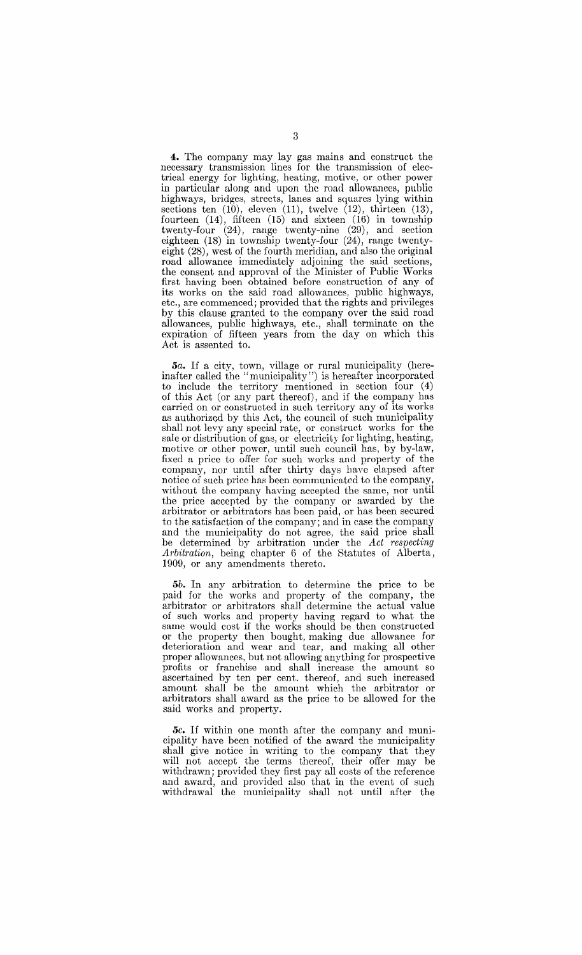**4.** The company may lay gas mains and construct the necessary transmission lines for the transmission of electrical energy for lighting, heating, motive, or other power in particular along and upon the road allowances, public highways, bridges, streets, lanes and squares lying within sections ten (10), eleven (11), twelve (12), thirteen (13), fourteen (14), fifteen (15) and sixteen (16) in township twenty-four (24), range twenty-nine (29), and section eighteen (18) in township twenty-four (24), range twentyeight (28), west of the fourth meridian, and also the original road allowance immediately adjoining the said sections, the consent and approval of the Minister of Public Works first having been obtained before construction of any of its works on the said road allowances, public highways, etc., are commenced; provided that the rights and privileges by this clause granted to the company over the said road allowances, public highways, etc., shall terminate on the expiration of fifteen years from the day on which this Act is assented to.

*5a.* If a city, town, village or rural municipality (hereinafter called the "municipality") is hereafter incorporated to include the territory mentioned in section four (4) of this Act (or any part thereof), and if the company has carried on or constructed in such territory any of its works as authorized by this Act, the council of such municipality shall not levy any special rate, or construct works for the sale or distribution of gas, or electricity for lighting, heating, motive or other power, until such council has, by by-law, fixed a price to offer for such works and property of the company, nor until after thirty days have elapsed after notice of such price has been communicated to the company, without the company having accepted the same, nor until the price accepted by the company or awarded by the arbitrator or arbitrators has been paid, or has been secured to the satisfaction of the company; and in case the company and the municipality do not agree, the said price shall be determined by arbitration under the *Act respecting Arbitration,* being chapter 6 of the Statutes of Alberta, 1909, or any amendments thereto.

*5b.* In any arbitration to determine the price to be paid for the works and property of the company, the arbitrator or arbitrators shall determine the actual value of such works and property having regard to what the same would cost if the works should be then constructed or the property then bought, making due allowance for deterioration and wear and tear, and making all other proper allowances, but not allowing anything for prospective profits or franchise and shall increase the amount so ascertained by ten per cent. thereof, and such increased amount shall be the amount which the arbitrator or arbitrators shall award as the price to be allowed for the said works and property.

*5c.* If within one month after the company and municipality have been notified of the award the municipality shall give notice in writing to the company that they will not accept the terms thereof, their offer may be withdrawn; provided they first pay all costs of the reference and award, and provided also that in the event of such withdrawal the municipality shall not until after the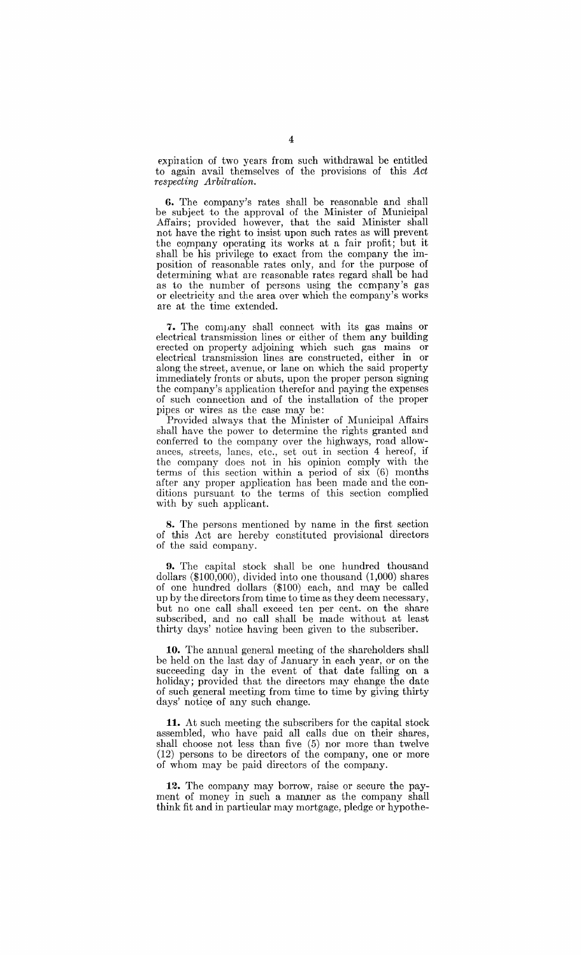expiration of two years from such withdrawal be entitled to again avail themselves of the provisions of this *Act respecting Arbitration.* 

**6.** The company's rates shall be reasonable and shall be subject to the approval of the Minister of Municipal Affairs; provided however, that the said Minister shall not have the right to insist upon such rates as will prevent the company operating its works at a fair profit; but it shall be his privilege to exact from the company the imposition of reasonable rates only, and for the purpose of determining what are reasonable rates regard shall be had as to the number of persons using the company's gas or electricity and the area over which the company's works are at the time extended.

7. The company shall connect with its gas mains or electrical transmission lines or either of them any building erected on property adjoining which such gas mains or electrical transmission lines are constructed, either in or along the street, avenue, or lane on which the said property immediately fronts or abuts, upon the proper person signing the company's application therefor and paying the expenses of such connection and of the installation of the proper pipes or wires as the case may be:

Provided always that the Minister of Municipal Affairs shall have the power to determine the rights granted and conferred to the company over the highways, road allowances, streets, lanes, etc., set out in section 4 hereof, if the company does not in his opinion comply with the terms of this section within a period of  $\sin (6)$  months after any proper application has been made and the conditions pursuant to the terms of this section complied with by such applicant.

**8.** The persons mentioned by name in the first section of this Act are hereby constituted provisional directors of the said company.

**9.** The capital stock shall be one hundred thousand dollars (\$100,000), divided into one thousand (1,000) shares of one hundred dollars (\$100) each, and may be called up by the directors from time to time as they deem necessary, but no one call shall exceed ten per cent. on the share subscribed, and no call shall be made without at least thirty days' notice having been given to the subscriber.

**10.** The annual general meeting of the shareholders shall be held on the last day of January in each year, or on the succeeding day in the event of that date falling on a holiday; provided that the directors may change the date of such general meeting from time to time by giving thirty days' notice of any such change.

**11.** At such meeting the subscribers for the capital stock assembled, who have paid all calls due on their shares, shall choose not less than five (5) nor more than twelve (12) persons to be directors of the company, one or more of whom may be paid directors of the company.

**12.** The company may borrow, raise or secure the payment of money in such a manner as the company shall think fit and in particular may mortgage, pledge or hypothe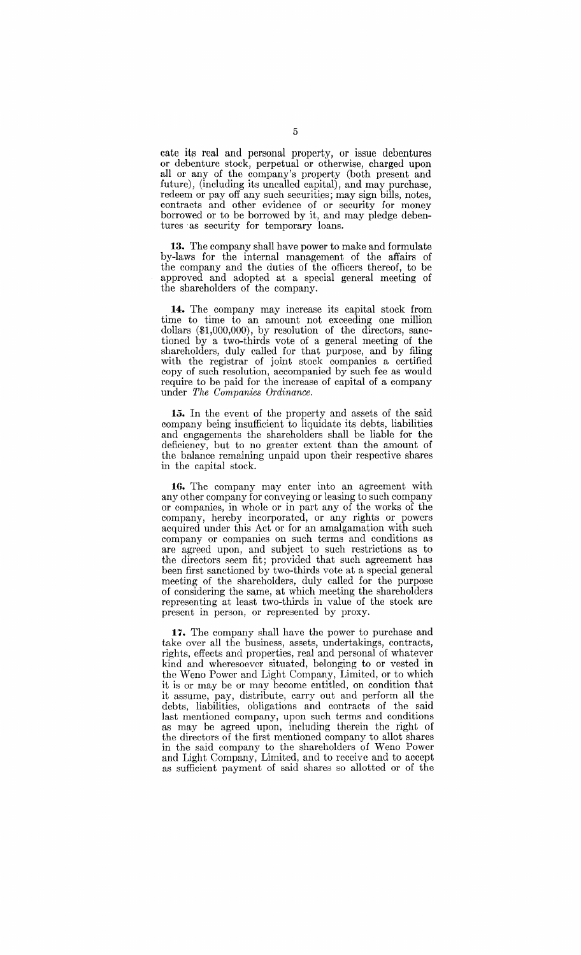cate its real and personal property, or issue debentures or debenture stock, perpetual or otherwise, charged upon all or any of the company's property (both present and future), (including its uncalled capital), and may purchase, redeem or pay off any such securities; may sign bills, notes, contracts and other evidence of or security for money borrowed or to be borrowed by it, and may pledge debentures as security for temporary loans.

**13.** The company shall have power to make and formulate by-laws for the internal management of the affairs of the company and the duties of the officers thereof, to be approved and adopted at a special general meeting of the shareholders of the company.

**14:.** The company may increase its capital stock from time to time to an amount not exceeding one million dollars (\$1,000,000), by resolution of the directors, sanctioned by a two-thirds vote of a general meeting of the shareholders, duly called for that purpose, and by filing with the registrar of joint stock companies a certified copy of such resolution, accompanied by such fee as would require to be paid for the increase of capital of a company under *The Companies Ordinance.* 

**15.** In the event of the property and assets of the said company being insufficient to liquidate its debts, liabilities and engagements the shareholders shall be liable for the deficiency, but to no greater extent than the amount of the balance remaining unpaid upon their respective shares in the capital stock.

**16.** The company may enter into an agreement with any other company for conveying or leasing to such company or companies, in whole or in part any of the works of the company, hereby incorporated, or any rights or powers acquired under this Act or for an amalgamation with such company or companies on such terms and conditions as are agreed upon, and subject to such restrictions as to the directors seem fit; provided that such agreement has been first sanctioned by two-thirds vote at a special general meeting of the shareholders, duly called for the purpose of considering the same, at which meeting the shareholders representing at least two-thirds in value of the stock are present in person, or represented by proxy.

**17.** The company shall have the power to purchase and take over all the business, assets, undertakings, contracts, rights, effects and properties, real and personal of whatever kind and wheresoever situated, belonging to or vested in the Weno Power and Light Company, Limited, or to which it is or may be or may become entitled, on condition that it assume, pay, distribute, carry out and perform all the debts, liabilities, obligations and contracts of the said last mentioned company, upon such terms and conditions as may be agreed upon, including therein the right of the directors of the first mentioned company to allot shares in the said company to the shareholders of Weno Power and Light Company, Limited, and to receive and to accept as sufficient payment of said shares so allotted or of the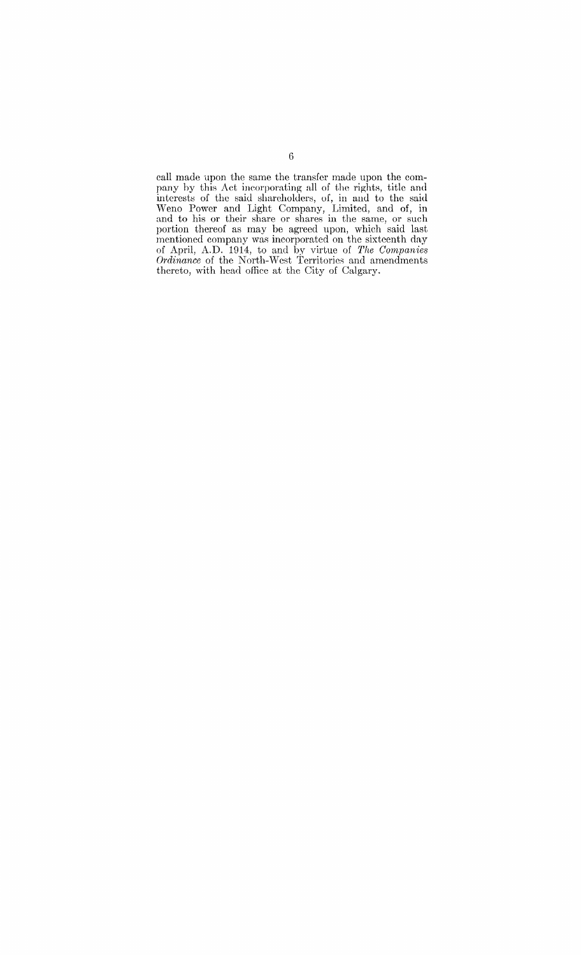call made upon the same the transfer made upon the company by this Act ineorporating all of the rights, title and interests of the said shareholders, of, in and to the said Weno Power and Light Company, Limited, and of, in and to his or their share or shares in the same, or such portion thereof as may be agreed upon, which said last mentioned company was incorporated on the sixteenth day of April, A.D. 1914, to and by virtue of *The Companies Ordinance* of the North-West Territories and amendments thereto, with head office at the City of Calgary.